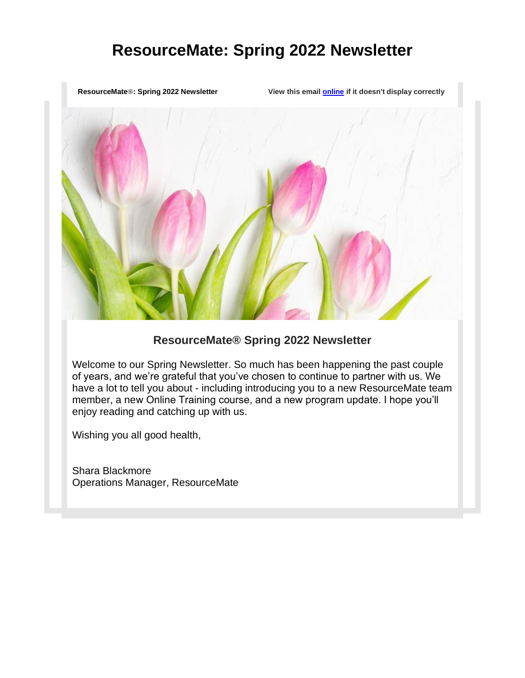**ResourceMate**®**: Spring 2022 Newsletter View this email [online](https://app.getresponse.com/view.html?x=a62b&m=BCctmo&mc=Jm&s=AvbFPE&u=hN2lS&z=ESiQzVG&) if it doesn't display correctly**

## **ResourceMate® Spring 2022 Newsletter**

Welcome to our Spring Newsletter. So much has been happening the past couple of years, and we're grateful that you've chosen to continue to partner with us. We have a lot to tell you about - including introducing you to a new ResourceMate team member, a new Online Training course, and a new program update. I hope you'll enjoy reading and catching up with us.

Wishing you all good health,

Shara Blackmore Operations Manager, ResourceMate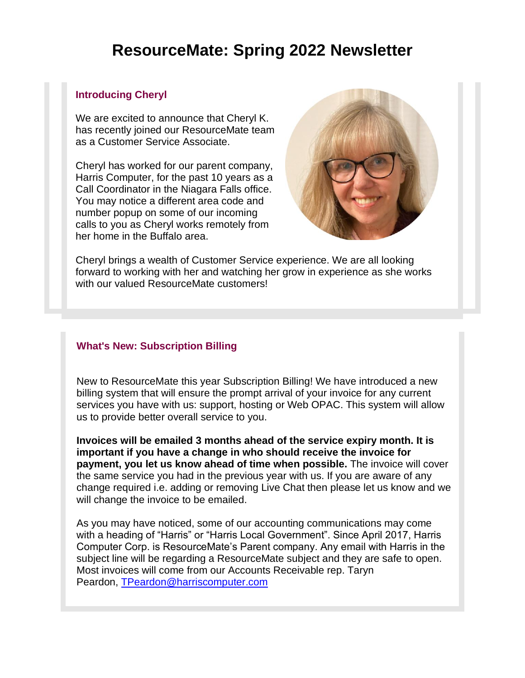### **Introducing Cheryl**

We are excited to announce that Cheryl K. has recently joined our ResourceMate team as a Customer Service Associate.

Cheryl has worked for our parent company, Harris Computer, for the past 10 years as a Call Coordinator in the Niagara Falls office. You may notice a different area code and number popup on some of our incoming calls to you as Cheryl works remotely from her home in the Buffalo area.



Cheryl brings a wealth of Customer Service experience. We are all looking forward to working with her and watching her grow in experience as she works with our valued ResourceMate customers!

### **What's New: Subscription Billing**

New to ResourceMate this year Subscription Billing! We have introduced a new billing system that will ensure the prompt arrival of your invoice for any current services you have with us: support, hosting or Web OPAC. This system will allow us to provide better overall service to you.

**Invoices will be emailed 3 months ahead of the service expiry month. It is important if you have a change in who should receive the invoice for payment, you let us know ahead of time when possible.** The invoice will cover the same service you had in the previous year with us. If you are aware of any change required i.e. adding or removing Live Chat then please let us know and we will change the invoice to be emailed.

As you may have noticed, some of our accounting communications may come with a heading of "Harris" or "Harris Local Government". Since April 2017, Harris Computer Corp. is ResourceMate's Parent company. Any email with Harris in the subject line will be regarding a ResourceMate subject and they are safe to open. Most invoices will come from our Accounts Receivable rep. Taryn Peardon, [TPeardon@harriscomputer.com](mailto:%20TPeardon@harriscomputer.com)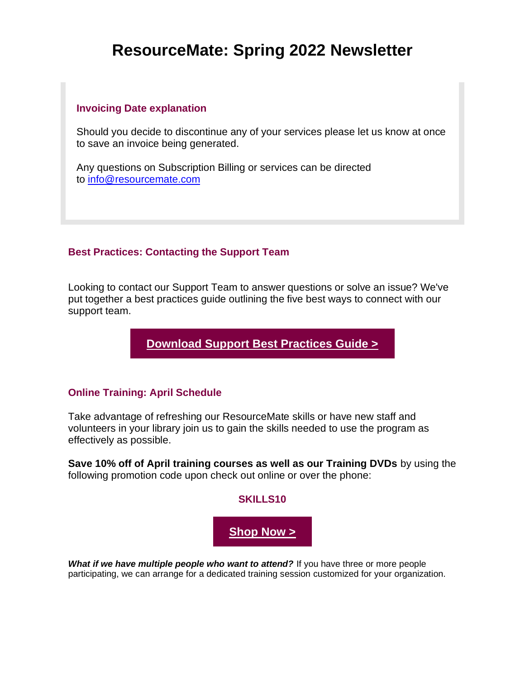#### **Invoicing Date explanation**

Should you decide to discontinue any of your services please let us know at once to save an invoice being generated.

Any questions on Subscription Billing or services can be directed to [info@resourcemate.com](mailto:%20info@resourcemate.com)

## **Best Practices: Contacting the Support Team**

Looking to contact our Support Team to answer questions or solve an issue? We've put together a best practices guide outlining the five best ways to connect with our support team.

**[Download Support Best Practices Guide >](https://app.getresponse.com/click.html?x=a62b&lc=SYLk8z&mc=Is&s=AvbFPE&u=hN2lS&z=EGjByHr&)**

### **Online Training: April Schedule**

Take advantage of refreshing our ResourceMate skills or have new staff and volunteers in your library join us to gain the skills needed to use the program as effectively as possible.

**Save 10% off of April training courses as well as our Training DVDs** by using the following promotion code upon check out online or over the phone:



*What if we have multiple people who want to attend?* If you have three or more people participating, we can arrange for a dedicated training session customized for your organization.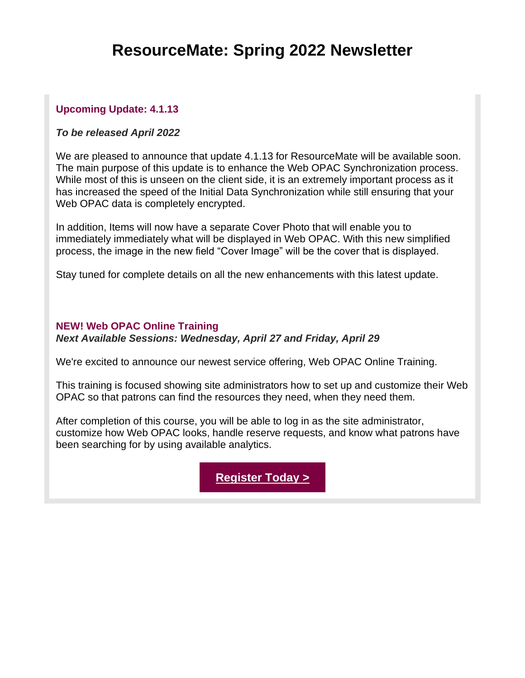## **Upcoming Update: 4.1.13**

#### *To be released April 2022*

We are pleased to announce that update 4.1.13 for ResourceMate will be available soon. The main purpose of this update is to enhance the Web OPAC Synchronization process. While most of this is unseen on the client side, it is an extremely important process as it has increased the speed of the Initial Data Synchronization while still ensuring that your Web OPAC data is completely encrypted.

In addition, Items will now have a separate Cover Photo that will enable you to immediately immediately what will be displayed in Web OPAC. With this new simplified process, the image in the new field "Cover Image" will be the cover that is displayed.

Stay tuned for complete details on all the new enhancements with this latest update.

#### **NEW! Web OPAC Online Training**

*Next Available Sessions: Wednesday, April 27 and Friday, April 29*

We're excited to announce our newest service offering, Web OPAC Online Training.

This training is focused showing site administrators how to set up and customize their Web OPAC so that patrons can find the resources they need, when they need them.

After completion of this course, you will be able to log in as the site administrator, customize how Web OPAC looks, handle reserve requests, and know what patrons have been searching for by using available analytics.

**[Register Today >](https://app.getresponse.com/click.html?x=a62b&lc=SYLk5r&mc=Is&s=AvbFPE&u=hN2lS&z=Ey9PCCQ&)**